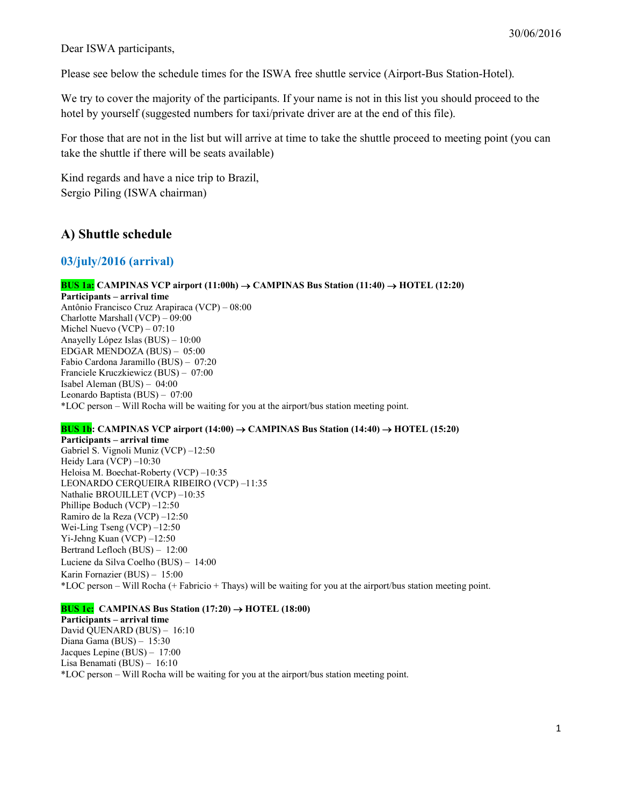Dear ISWA participants,

Please see below the schedule times for the ISWA free shuttle service (Airport-Bus Station-Hotel).

We try to cover the majority of the participants. If your name is not in this list you should proceed to the hotel by yourself (suggested numbers for taxi/private driver are at the end of this file).

For those that are not in the list but will arrive at time to take the shuttle proceed to meeting point (you can take the shuttle if there will be seats available)

Kind regards and have a nice trip to Brazil, Sergio Piling (ISWA chairman)

## A) Shuttle schedule

### 03/july/2016 (arrival)

BUS 1a: CAMPINAS VCP airport (11:00h)  $\rightarrow$  CAMPINAS Bus Station (11:40)  $\rightarrow$  HOTEL (12:20) Participants – arrival time Antônio Francisco Cruz Arapiraca (VCP) – 08:00 Charlotte Marshall (VCP) – 09:00 Michel Nuevo (VCP) – 07:10 Anayelly López Islas (BUS) – 10:00 EDGAR MENDOZA (BUS) – 05:00 Fabio Cardona Jaramillo (BUS) – 07:20 Franciele Kruczkiewicz (BUS) – 07:00 Isabel Aleman (BUS) – 04:00 Leonardo Baptista (BUS) – 07:00 \*LOC person – Will Rocha will be waiting for you at the airport/bus station meeting point.

### **BUS 1b:** CAMPINAS VCP airport (14:00)  $\rightarrow$  CAMPINAS Bus Station (14:40)  $\rightarrow$  HOTEL (15:20)

Participants – arrival time Gabriel S. Vignoli Muniz (VCP) –12:50 Heidy Lara (VCP) –10:30 Heloisa M. Boechat-Roberty (VCP) –10:35 LEONARDO CERQUEIRA RIBEIRO (VCP) –11:35 Nathalie BROUILLET (VCP) –10:35 Phillipe Boduch (VCP) –12:50 Ramiro de la Reza (VCP) –12:50 Wei-Ling Tseng (VCP) –12:50 Yi-Jehng Kuan (VCP) –12:50 Bertrand Lefloch (BUS) – 12:00 Luciene da Silva Coelho (BUS) – 14:00 Karin Fornazier (BUS) – 15:00 \*LOC person – Will Rocha (+ Fabricio + Thays) will be waiting for you at the airport/bus station meeting point.

### **BUS 1c:** CAMPINAS Bus Station  $(17:20) \rightarrow \text{HOTEL}$   $(18:00)$

Participants – arrival time David QUENARD (BUS) – 16:10 Diana Gama (BUS) – 15:30 Jacques Lepine (BUS) – 17:00 Lisa Benamati (BUS) – 16:10 \*LOC person – Will Rocha will be waiting for you at the airport/bus station meeting point.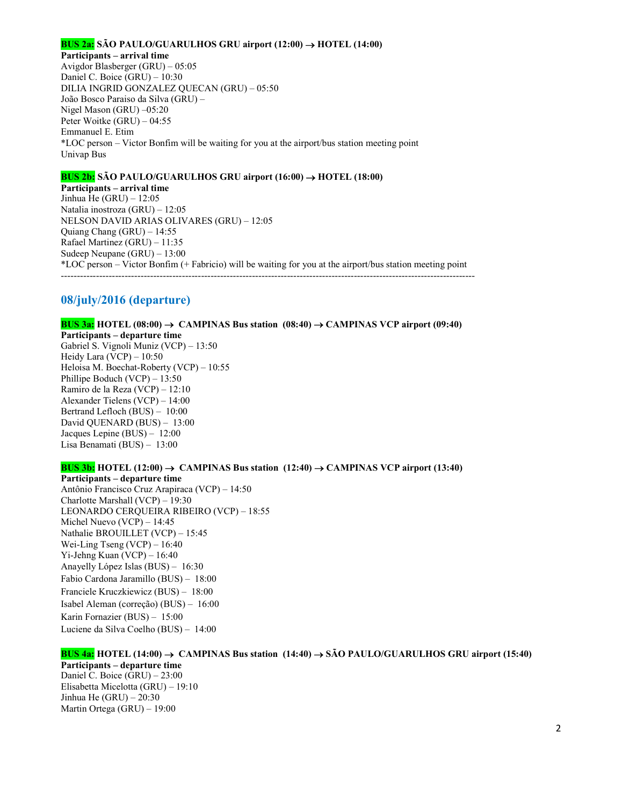#### **BUS 2a:** SÃO PAULO/GUARULHOS GRU airport  $(12:00) \rightarrow$  HOTEL  $(14:00)$

Participants – arrival time

Avigdor Blasberger (GRU) – 05:05 Daniel C. Boice (GRU) – 10:30 DILIA INGRID GONZALEZ QUECAN (GRU) – 05:50 João Bosco Paraiso da Silva (GRU) – Nigel Mason (GRU) –05:20 Peter Woitke (GRU) – 04:55 Emmanuel E. Etim \*LOC person – Victor Bonfim will be waiting for you at the airport/bus station meeting point Univap Bus

#### **BUS 2b:** SÃO PAULO/GUARULHOS GRU airport  $(16:00) \rightarrow$  HOTEL  $(18:00)$

Participants – arrival time Jinhua He (GRU) – 12:05 Natalia inostroza (GRU) – 12:05 NELSON DAVID ARIAS OLIVARES (GRU) – 12:05 Quiang Chang (GRU) – 14:55 Rafael Martinez (GRU) – 11:35 Sudeep Neupane (GRU) – 13:00 \*LOC person – Victor Bonfim (+ Fabricio) will be waiting for you at the airport/bus station meeting point ----------------------------------------------------------------------------------------------------------------------------------

### 08/july/2016 (departure)

BUS 3a: HOTEL (08:00)  $\rightarrow$  CAMPINAS Bus station (08:40)  $\rightarrow$  CAMPINAS VCP airport (09:40) Participants – departure time Gabriel S. Vignoli Muniz (VCP) – 13:50 Heidy Lara (VCP) – 10:50 Heloisa M. Boechat-Roberty (VCP) – 10:55 Phillipe Boduch (VCP) – 13:50 Ramiro de la Reza (VCP) – 12:10 Alexander Tielens (VCP) – 14:00 Bertrand Lefloch (BUS) – 10:00 David QUENARD (BUS) – 13:00 Jacques Lepine (BUS) – 12:00 Lisa Benamati (BUS) – 13:00 BUS 3b: HOTEL  $(12:00) \rightarrow$  CAMPINAS Bus station  $(12:40) \rightarrow$  CAMPINAS VCP airport  $(13:40)$ 

# Participants – departure time

Antônio Francisco Cruz Arapiraca (VCP) – 14:50 Charlotte Marshall (VCP) – 19:30 LEONARDO CERQUEIRA RIBEIRO (VCP) – 18:55 Michel Nuevo (VCP) – 14:45 Nathalie BROUILLET (VCP) – 15:45 Wei-Ling Tseng (VCP) – 16:40 Yi-Jehng Kuan (VCP) – 16:40 Anayelly López Islas (BUS) – 16:30 Fabio Cardona Jaramillo (BUS) – 18:00 Franciele Kruczkiewicz (BUS) – 18:00 Isabel Aleman (correção) (BUS) – 16:00 Karin Fornazier (BUS) – 15:00 Luciene da Silva Coelho (BUS) – 14:00

#### BUS 4a: HOTEL (14:00)  $\rightarrow$  CAMPINAS Bus station (14:40)  $\rightarrow$  SÃO PAULO/GUARULHOS GRU airport (15:40) Participants – departure time Daniel C. Boice (GRU) – 23:00 Elisabetta Micelotta (GRU) – 19:10

Jinhua He  $(GRU) - 20:30$ Martin Ortega (GRU) – 19:00